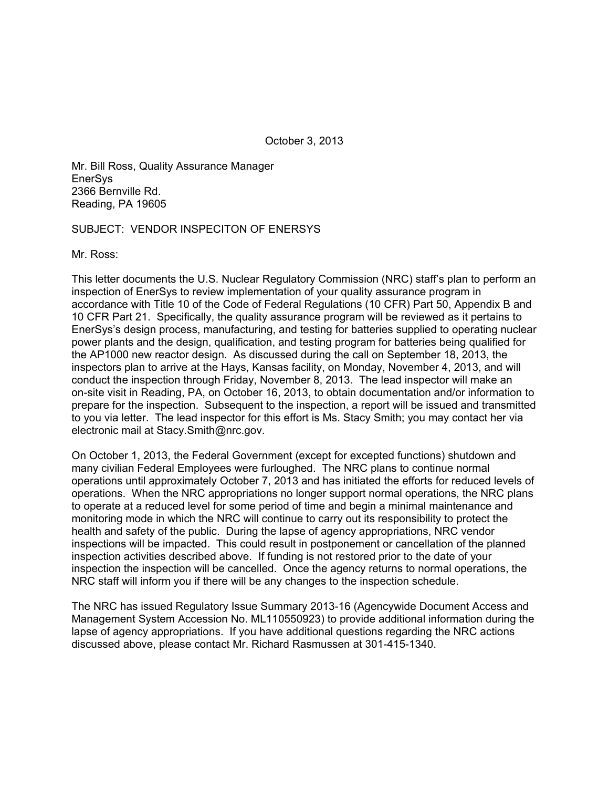October 3, 2013

Mr. Bill Ross, Quality Assurance Manager **EnerSys** 2366 Bernville Rd. Reading, PA 19605

## SUBJECT: VENDOR INSPECITON OF ENERSYS

Mr. Ross:

This letter documents the U.S. Nuclear Regulatory Commission (NRC) staff's plan to perform an inspection of EnerSys to review implementation of your quality assurance program in accordance with Title 10 of the Code of Federal Regulations (10 CFR) Part 50, Appendix B and 10 CFR Part 21. Specifically, the quality assurance program will be reviewed as it pertains to EnerSys's design process, manufacturing, and testing for batteries supplied to operating nuclear power plants and the design, qualification, and testing program for batteries being qualified for the AP1000 new reactor design. As discussed during the call on September 18, 2013, the inspectors plan to arrive at the Hays, Kansas facility, on Monday, November 4, 2013, and will conduct the inspection through Friday, November 8, 2013. The lead inspector will make an on-site visit in Reading, PA, on October 16, 2013, to obtain documentation and/or information to prepare for the inspection. Subsequent to the inspection, a report will be issued and transmitted to you via letter. The lead inspector for this effort is Ms. Stacy Smith; you may contact her via electronic mail at Stacy.Smith@nrc.gov.

On October 1, 2013, the Federal Government (except for excepted functions) shutdown and many civilian Federal Employees were furloughed. The NRC plans to continue normal operations until approximately October 7, 2013 and has initiated the efforts for reduced levels of operations. When the NRC appropriations no longer support normal operations, the NRC plans to operate at a reduced level for some period of time and begin a minimal maintenance and monitoring mode in which the NRC will continue to carry out its responsibility to protect the health and safety of the public. During the lapse of agency appropriations, NRC vendor inspections will be impacted. This could result in postponement or cancellation of the planned inspection activities described above. If funding is not restored prior to the date of your inspection the inspection will be cancelled. Once the agency returns to normal operations, the NRC staff will inform you if there will be any changes to the inspection schedule.

The NRC has issued Regulatory Issue Summary 2013-16 (Agencywide Document Access and Management System Accession No. ML110550923) to provide additional information during the lapse of agency appropriations. If you have additional questions regarding the NRC actions discussed above, please contact Mr. Richard Rasmussen at 301-415-1340.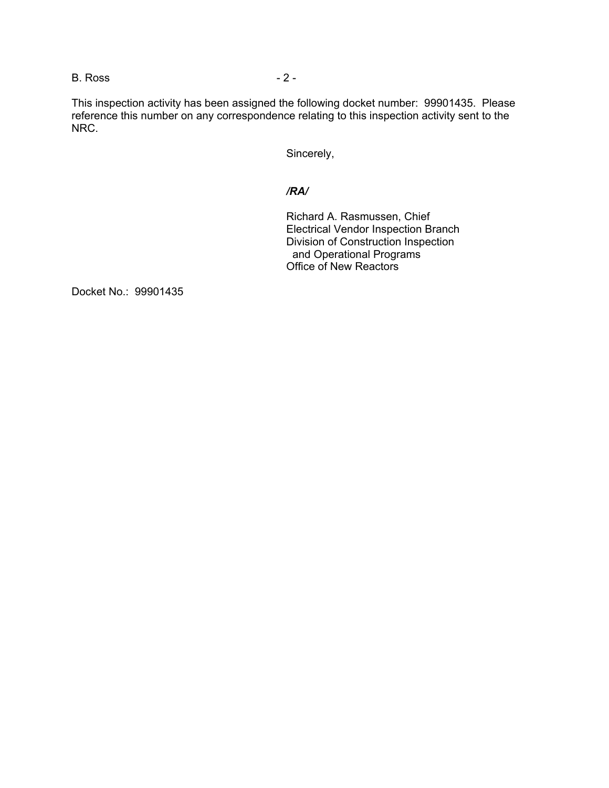B. Ross - 2 -

This inspection activity has been assigned the following docket number: 99901435. Please reference this number on any correspondence relating to this inspection activity sent to the NRC.

Sincerely,

## */RA/*

Richard A. Rasmussen, Chief Electrical Vendor Inspection Branch Division of Construction Inspection and Operational Programs Office of New Reactors

Docket No.: 99901435